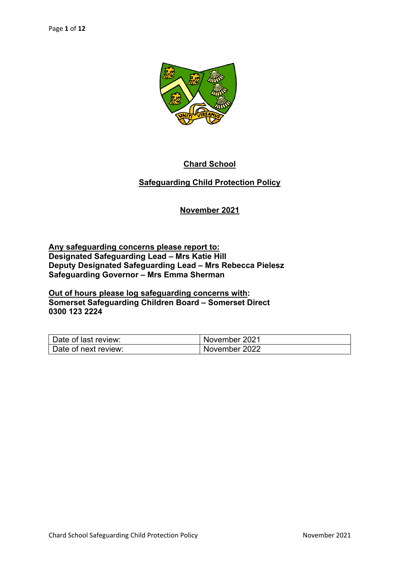

# **Chard School**

# **Safeguarding Child Protection Policy**

# **November 2021**

### **Any safeguarding concerns please report to: Designated Safeguarding Lead – Mrs Katie Hill Deputy Designated Safeguarding Lead – Mrs Rebecca Pielesz Safeguarding Governor – Mrs Emma Sherman**

**Out of hours please log safeguarding concerns with: Somerset Safeguarding Children Board – Somerset Direct 0300 123 2224**

| Date of last review: | November 2021 |
|----------------------|---------------|
| Date of next review: | November 2022 |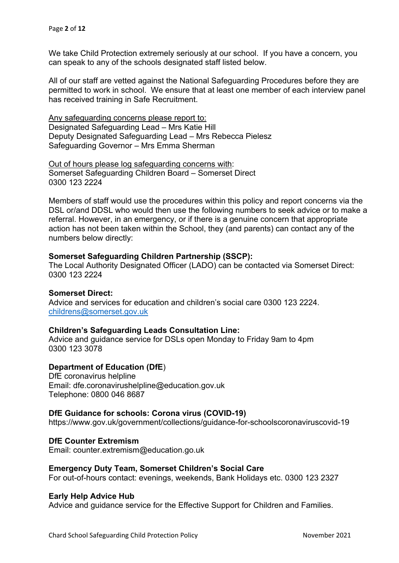We take Child Protection extremely seriously at our school. If you have a concern, you can speak to any of the schools designated staff listed below.

All of our staff are vetted against the National Safeguarding Procedures before they are permitted to work in school. We ensure that at least one member of each interview panel has received training in Safe Recruitment.

Any safeguarding concerns please report to: Designated Safeguarding Lead – Mrs Katie Hill Deputy Designated Safeguarding Lead – Mrs Rebecca Pielesz Safeguarding Governor – Mrs Emma Sherman

Out of hours please log safeguarding concerns with: Somerset Safeguarding Children Board – Somerset Direct 0300 123 2224

Members of staff would use the procedures within this policy and report concerns via the DSL or/and DDSL who would then use the following numbers to seek advice or to make a referral. However, in an emergency, or if there is a genuine concern that appropriate action has not been taken within the School, they (and parents) can contact any of the numbers below directly:

#### **Somerset Safeguarding Children Partnership (SSCP):**

The Local Authority Designated Officer (LADO) can be contacted via Somerset Direct: 0300 123 2224

#### **Somerset Direct:**

Advice and services for education and children's social care 0300 123 2224. childrens@somerset.gov.uk

#### **Children's Safeguarding Leads Consultation Line:**

Advice and guidance service for DSLs open Monday to Friday 9am to 4pm 0300 123 3078

#### **Department of Education (DfE**)

DfE coronavirus helpline Email: dfe.coronavirushelpline@education.gov.uk Telephone: 0800 046 8687

#### **DfE Guidance for schools: Corona virus (COVID-19)**

https://www.gov.uk/government/collections/guidance-for-schoolscoronaviruscovid-19

#### **DfE Counter Extremism**

Email: counter.extremism@education.go.uk

#### **Emergency Duty Team, Somerset Children's Social Care**

For out-of-hours contact: evenings, weekends, Bank Holidays etc. 0300 123 2327

#### **Early Help Advice Hub**

Advice and guidance service for the Effective Support for Children and Families.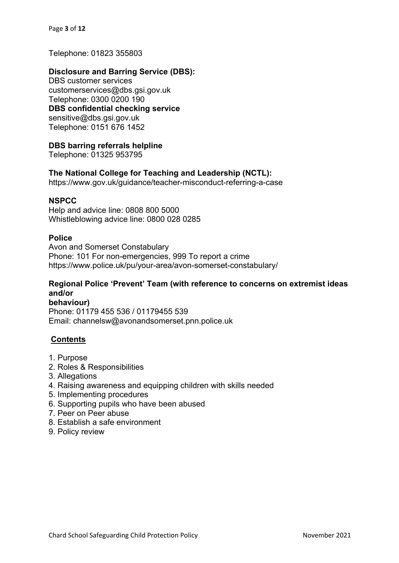Telephone: 01823 355803

#### **Disclosure and Barring Service (DBS):**

DBS customer services customerservices@dbs.gsi.gov.uk Telephone: 0300 0200 190 **DBS confidential checking service**  sensitive@dbs.gsi.gov.uk Telephone: 0151 676 1452

### **DBS barring referrals helpline**

Telephone: 01325 953795

### **The National College for Teaching and Leadership (NCTL):**

https://www.gov.uk/guidance/teacher-misconduct-referring-a-case

#### **NSPCC**

Help and advice line: 0808 800 5000 Whistleblowing advice line: 0800 028 0285

#### **Police**

Avon and Somerset Constabulary Phone: 101 For non-emergencies, 999 To report a crime https://www.police.uk/pu/your-area/avon-somerset-constabulary/

# **Regional Police 'Prevent' Team (with reference to concerns on extremist ideas and/or**

**behaviour)**  Phone: 01179 455 536 / 01179455 539 Email: channelsw@avonandsomerset.pnn.police.uk

### **Contents**

- 1. Purpose
- 2. Roles & Responsibilities
- 3. Allegations
- 4. Raising awareness and equipping children with skills needed
- 5. Implementing procedures
- 6. Supporting pupils who have been abused
- 7. Peer on Peer abuse
- 8. Establish a safe environment
- 9. Policy review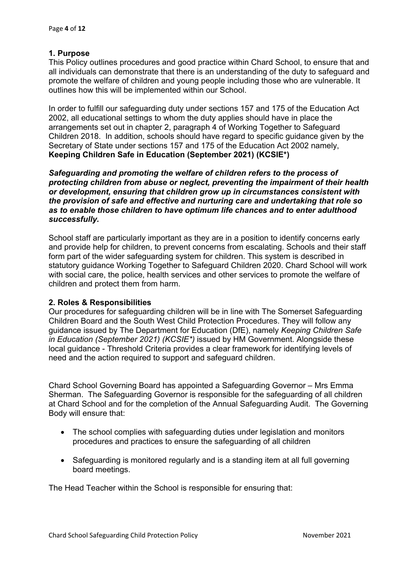# **1. Purpose**

This Policy outlines procedures and good practice within Chard School, to ensure that and all individuals can demonstrate that there is an understanding of the duty to safeguard and promote the welfare of children and young people including those who are vulnerable. It outlines how this will be implemented within our School.

In order to fulfill our safeguarding duty under sections 157 and 175 of the Education Act 2002, all educational settings to whom the duty applies should have in place the arrangements set out in chapter 2, paragraph 4 of Working Together to Safeguard Children 2018. In addition, schools should have regard to specific guidance given by the Secretary of State under sections 157 and 175 of the Education Act 2002 namely, **Keeping Children Safe in Education (September 2021) (KCSIE\*)**

*Safeguarding and promoting the welfare of children refers to the process of protecting children from abuse or neglect, preventing the impairment of their health or development, ensuring that children grow up in circumstances consistent with the provision of safe and effective and nurturing care and undertaking that role so as to enable those children to have optimum life chances and to enter adulthood successfully.*

School staff are particularly important as they are in a position to identify concerns early and provide help for children, to prevent concerns from escalating. Schools and their staff form part of the wider safeguarding system for children. This system is described in statutory guidance Working Together to Safeguard Children 2020. Chard School will work with social care, the police, health services and other services to promote the welfare of children and protect them from harm.

### **2. Roles & Responsibilities**

Our procedures for safeguarding children will be in line with The Somerset Safeguarding Children Board and the South West Child Protection Procedures. They will follow any guidance issued by The Department for Education (DfE), namely *Keeping Children Safe in Education (September 2021) (KCSIE\*)* issued by HM Government. Alongside these local guidance - Threshold Criteria provides a clear framework for identifying levels of need and the action required to support and safeguard children.

Chard School Governing Board has appointed a Safeguarding Governor – Mrs Emma Sherman. The Safeguarding Governor is responsible for the safeguarding of all children at Chard School and for the completion of the Annual Safeguarding Audit. The Governing Body will ensure that:

- The school complies with safeguarding duties under legislation and monitors procedures and practices to ensure the safeguarding of all children
- Safeguarding is monitored regularly and is a standing item at all full governing board meetings.

The Head Teacher within the School is responsible for ensuring that: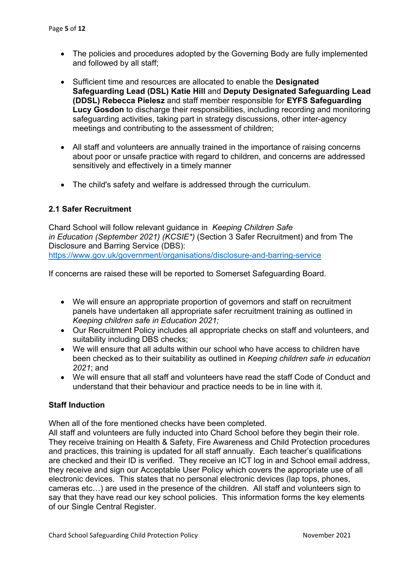- The policies and procedures adopted by the Governing Body are fully implemented and followed by all staff;
- Sufficient time and resources are allocated to enable the **Designated Safeguarding Lead (DSL) Katie Hill** and **Deputy Designated Safeguarding Lead (DDSL) Rebecca Pielesz** and staff member responsible for **EYFS Safeguarding Lucy Gosdon** to discharge their responsibilities, including recording and monitoring safeguarding activities, taking part in strategy discussions, other inter-agency meetings and contributing to the assessment of children;
- All staff and volunteers are annually trained in the importance of raising concerns about poor or unsafe practice with regard to children, and concerns are addressed sensitively and effectively in a timely manner
- The child's safety and welfare is addressed through the curriculum.

# **2.1 Safer Recruitment**

Chard School will follow relevant guidance in *Keeping Children Safe in Education (September 2021) (KCSIE\*)* (Section 3 Safer Recruitment) and from The Disclosure and Barring Service (DBS): https://www.gov.uk/government/organisations/disclosure-and-barring-service

If concerns are raised these will be reported to Somerset Safeguarding Board.

- We will ensure an appropriate proportion of governors and staff on recruitment panels have undertaken all appropriate safer recruitment training as outlined in *Keeping children safe in Education 2021;*
- Our Recruitment Policy includes all appropriate checks on staff and volunteers, and suitability including DBS checks;
- We will ensure that all adults within our school who have access to children have been checked as to their suitability as outlined in *Keeping children safe in education 2021*; and
- We will ensure that all staff and volunteers have read the staff Code of Conduct and understand that their behaviour and practice needs to be in line with it.

### **Staff Induction**

When all of the fore mentioned checks have been completed.

All staff and volunteers are fully inducted into Chard School before they begin their role. They receive training on Health & Safety, Fire Awareness and Child Protection procedures and practices, this training is updated for all staff annually. Each teacher's qualifications are checked and their ID is verified. They receive an ICT log in and School email address, they receive and sign our Acceptable User Policy which covers the appropriate use of all electronic devices. This states that no personal electronic devices (lap tops, phones, cameras etc…) are used in the presence of the children. All staff and volunteers sign to say that they have read our key school policies. This information forms the key elements of our Single Central Register.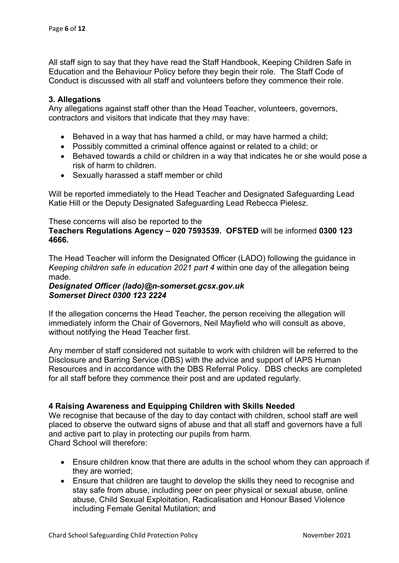All staff sign to say that they have read the Staff Handbook, Keeping Children Safe in Education and the Behaviour Policy before they begin their role. The Staff Code of Conduct is discussed with all staff and volunteers before they commence their role.

### **3. Allegations**

Any allegations against staff other than the Head Teacher, volunteers, governors, contractors and visitors that indicate that they may have:

- Behaved in a way that has harmed a child, or may have harmed a child;
- Possibly committed a criminal offence against or related to a child; or
- Behaved towards a child or children in a way that indicates he or she would pose a risk of harm to children.
- Sexually harassed a staff member or child

Will be reported immediately to the Head Teacher and Designated Safeguarding Lead Katie Hill or the Deputy Designated Safeguarding Lead Rebecca Pielesz.

#### These concerns will also be reported to the

**Teachers Regulations Agency – 020 7593539. OFSTED** will be informed **0300 123 4666.**

The Head Teacher will inform the Designated Officer (LADO) following the guidance in *Keeping children safe in education 2021 part 4* within one day of the allegation being made.

### *Designated Officer (lado)@n-somerset.gcsx.gov.uk Somerset Direct 0300 123 2224*

If the allegation concerns the Head Teacher, the person receiving the allegation will immediately inform the Chair of Governors, Neil Mayfield who will consult as above, without notifying the Head Teacher first.

Any member of staff considered not suitable to work with children will be referred to the Disclosure and Barring Service (DBS) with the advice and support of IAPS Human Resources and in accordance with the DBS Referral Policy. DBS checks are completed for all staff before they commence their post and are updated regularly.

### **4 Raising Awareness and Equipping Children with Skills Needed**

We recognise that because of the day to day contact with children, school staff are well placed to observe the outward signs of abuse and that all staff and governors have a full and active part to play in protecting our pupils from harm. Chard School will therefore:

- Ensure children know that there are adults in the school whom they can approach if they are worried;
- Ensure that children are taught to develop the skills they need to recognise and stay safe from abuse, including peer on peer physical or sexual abuse, online abuse, Child Sexual Exploitation, Radicalisation and Honour Based Violence including Female Genital Mutilation; and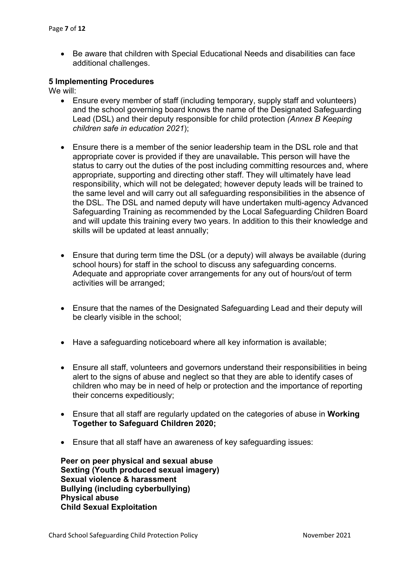• Be aware that children with Special Educational Needs and disabilities can face additional challenges.

#### **5 Implementing Procedures**

We will:

- Ensure every member of staff (including temporary, supply staff and volunteers) and the school governing board knows the name of the Designated Safeguarding Lead (DSL) and their deputy responsible for child protection *(Annex B Keeping children safe in education 2021*);
- Ensure there is a member of the senior leadership team in the DSL role and that appropriate cover is provided if they are unavailable**.** This person will have the status to carry out the duties of the post including committing resources and, where appropriate, supporting and directing other staff. They will ultimately have lead responsibility, which will not be delegated; however deputy leads will be trained to the same level and will carry out all safeguarding responsibilities in the absence of the DSL. The DSL and named deputy will have undertaken multi-agency Advanced Safeguarding Training as recommended by the Local Safeguarding Children Board and will update this training every two years. In addition to this their knowledge and skills will be updated at least annually;
- Ensure that during term time the DSL (or a deputy) will always be available (during school hours) for staff in the school to discuss any safeguarding concerns. Adequate and appropriate cover arrangements for any out of hours/out of term activities will be arranged;
- Ensure that the names of the Designated Safeguarding Lead and their deputy will be clearly visible in the school;
- Have a safeguarding noticeboard where all key information is available;
- Ensure all staff, volunteers and governors understand their responsibilities in being alert to the signs of abuse and neglect so that they are able to identify cases of children who may be in need of help or protection and the importance of reporting their concerns expeditiously;
- Ensure that all staff are regularly updated on the categories of abuse in **Working Together to Safeguard Children 2020;**
- Ensure that all staff have an awareness of key safeguarding issues:

**Peer on peer physical and sexual abuse Sexting (Youth produced sexual imagery) Sexual violence & harassment Bullying (including cyberbullying) Physical abuse Child Sexual Exploitation**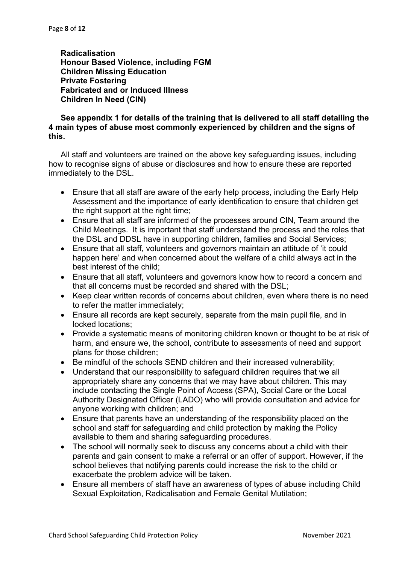**Radicalisation Honour Based Violence, including FGM Children Missing Education Private Fostering Fabricated and or Induced Illness Children In Need (CIN)**

#### **See appendix 1 for details of the training that is delivered to all staff detailing the 4 main types of abuse most commonly experienced by children and the signs of this.**

All staff and volunteers are trained on the above key safeguarding issues, including how to recognise signs of abuse or disclosures and how to ensure these are reported immediately to the DSL.

- Ensure that all staff are aware of the early help process, including the Early Help Assessment and the importance of early identification to ensure that children get the right support at the right time;
- Ensure that all staff are informed of the processes around CIN, Team around the Child Meetings. It is important that staff understand the process and the roles that the DSL and DDSL have in supporting children, families and Social Services;
- Ensure that all staff, volunteers and governors maintain an attitude of 'it could happen here' and when concerned about the welfare of a child always act in the best interest of the child;
- Ensure that all staff, volunteers and governors know how to record a concern and that all concerns must be recorded and shared with the DSL;
- Keep clear written records of concerns about children, even where there is no need to refer the matter immediately;
- Ensure all records are kept securely, separate from the main pupil file, and in locked locations;
- Provide a systematic means of monitoring children known or thought to be at risk of harm, and ensure we, the school, contribute to assessments of need and support plans for those children;
- Be mindful of the schools SEND children and their increased vulnerability;
- Understand that our responsibility to safeguard children requires that we all appropriately share any concerns that we may have about children. This may include contacting the Single Point of Access (SPA), Social Care or the Local Authority Designated Officer (LADO) who will provide consultation and advice for anyone working with children; and
- Ensure that parents have an understanding of the responsibility placed on the school and staff for safeguarding and child protection by making the Policy available to them and sharing safeguarding procedures.
- The school will normally seek to discuss any concerns about a child with their parents and gain consent to make a referral or an offer of support. However, if the school believes that notifying parents could increase the risk to the child or exacerbate the problem advice will be taken.
- Ensure all members of staff have an awareness of types of abuse including Child Sexual Exploitation, Radicalisation and Female Genital Mutilation;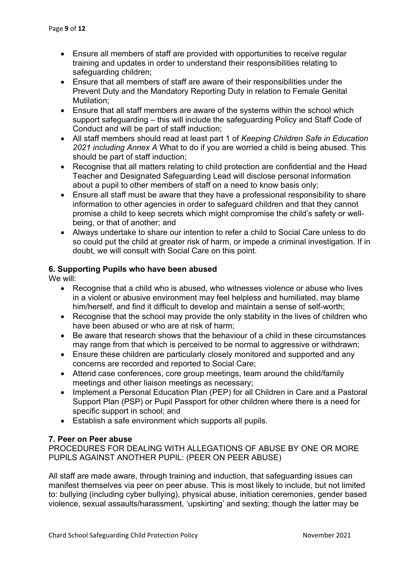- Ensure all members of staff are provided with opportunities to receive regular training and updates in order to understand their responsibilities relating to safeguarding children;
- Ensure that all members of staff are aware of their responsibilities under the Prevent Duty and the Mandatory Reporting Duty in relation to Female Genital Mutilation;
- Ensure that all staff members are aware of the systems within the school which support safeguarding – this will include the safeguarding Policy and Staff Code of Conduct and will be part of staff induction;
- All staff members should read at least part 1 of *Keeping Children Safe in Education 2021 including Annex A* What to do if you are worried a child is being abused*.* This should be part of staff induction;
- Recognise that all matters relating to child protection are confidential and the Head Teacher and Designated Safeguarding Lead will disclose personal information about a pupil to other members of staff on a need to know basis only;
- Ensure all staff must be aware that they have a professional responsibility to share information to other agencies in order to safeguard children and that they cannot promise a child to keep secrets which might compromise the child's safety or wellbeing, or that of another; and
- Always undertake to share our intention to refer a child to Social Care unless to do so could put the child at greater risk of harm, or impede a criminal investigation. If in doubt, we will consult with Social Care on this point.

# **6. Supporting Pupils who have been abused**

We will:

- Recognise that a child who is abused, who witnesses violence or abuse who lives in a violent or abusive environment may feel helpless and humiliated, may blame him/herself, and find it difficult to develop and maintain a sense of self-worth;
- Recognise that the school may provide the only stability in the lives of children who have been abused or who are at risk of harm;
- Be aware that research shows that the behaviour of a child in these circumstances may range from that which is perceived to be normal to aggressive or withdrawn;
- Ensure these children are particularly closely monitored and supported and any concerns are recorded and reported to Social Care;
- Attend case conferences, core group meetings, team around the child/family meetings and other liaison meetings as necessary;
- Implement a Personal Education Plan (PEP) for all Children in Care and a Pastoral Support Plan (PSP) or Pupil Passport for other children where there is a need for specific support in school; and
- Establish a safe environment which supports all pupils.

### **7. Peer on Peer abuse**

PROCEDURES FOR DEALING WITH ALLEGATIONS OF ABUSE BY ONE OR MORE PUPILS AGAINST ANOTHER PUPIL: (PEER ON PEER ABUSE)

All staff are made aware, through training and induction, that safeguarding issues can manifest themselves via peer on peer abuse. This is most likely to include, but not limited to: bullying (including cyber bullying), physical abuse, initiation ceremonies, gender based violence, sexual assaults/harassment, 'upskirting' and sexting; though the latter may be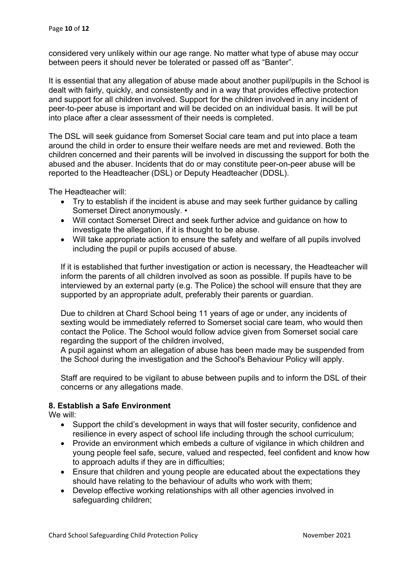considered very unlikely within our age range. No matter what type of abuse may occur between peers it should never be tolerated or passed off as "Banter".

It is essential that any allegation of abuse made about another pupil/pupils in the School is dealt with fairly, quickly, and consistently and in a way that provides effective protection and support for all children involved. Support for the children involved in any incident of peer-to-peer abuse is important and will be decided on an individual basis. It will be put into place after a clear assessment of their needs is completed.

The DSL will seek guidance from Somerset Social care team and put into place a team around the child in order to ensure their welfare needs are met and reviewed. Both the children concerned and their parents will be involved in discussing the support for both the abused and the abuser. Incidents that do or may constitute peer-on-peer abuse will be reported to the Headteacher (DSL) or Deputy Headteacher (DDSL).

The Headteacher will:

- Try to establish if the incident is abuse and may seek further guidance by calling Somerset Direct anonymously. •
- Will contact Somerset Direct and seek further advice and guidance on how to investigate the allegation, if it is thought to be abuse.
- Will take appropriate action to ensure the safety and welfare of all pupils involved including the pupil or pupils accused of abuse.

If it is established that further investigation or action is necessary, the Headteacher will inform the parents of all children involved as soon as possible. If pupils have to be interviewed by an external party (e.g. The Police) the school will ensure that they are supported by an appropriate adult, preferably their parents or guardian.

Due to children at Chard School being 11 years of age or under, any incidents of sexting would be immediately referred to Somerset social care team, who would then contact the Police. The School would follow advice given from Somerset social care regarding the support of the children involved,

A pupil against whom an allegation of abuse has been made may be suspended from the School during the investigation and the School's Behaviour Policy will apply.

Staff are required to be vigilant to abuse between pupils and to inform the DSL of their concerns or any allegations made.

### **8. Establish a Safe Environment**

We will:

- Support the child's development in ways that will foster security, confidence and resilience in every aspect of school life including through the school curriculum;
- Provide an environment which embeds a culture of vigilance in which children and young people feel safe, secure, valued and respected, feel confident and know how to approach adults if they are in difficulties;
- Ensure that children and young people are educated about the expectations they should have relating to the behaviour of adults who work with them;
- Develop effective working relationships with all other agencies involved in safeguarding children;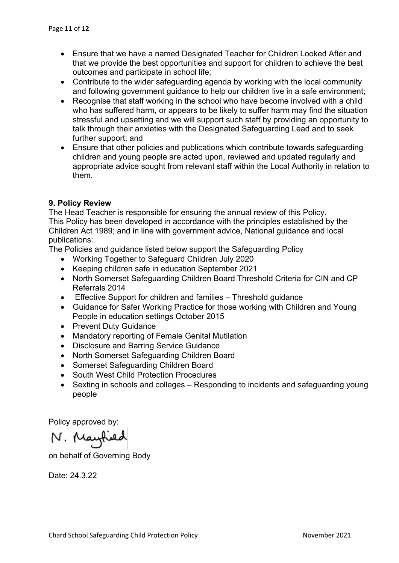- Ensure that we have a named Designated Teacher for Children Looked After and that we provide the best opportunities and support for children to achieve the best outcomes and participate in school life;
- Contribute to the wider safeguarding agenda by working with the local community and following government guidance to help our children live in a safe environment;
- Recognise that staff working in the school who have become involved with a child who has suffered harm, or appears to be likely to suffer harm may find the situation stressful and upsetting and we will support such staff by providing an opportunity to talk through their anxieties with the Designated Safeguarding Lead and to seek further support; and
- Ensure that other policies and publications which contribute towards safeguarding children and young people are acted upon, reviewed and updated regularly and appropriate advice sought from relevant staff within the Local Authority in relation to them.

### **9. Policy Review**

The Head Teacher is responsible for ensuring the annual review of this Policy. This Policy has been developed in accordance with the principles established by the Children Act 1989; and in line with government advice, National guidance and local publications:

The Policies and guidance listed below support the Safeguarding Policy

- Working Together to Safeguard Children July 2020
- Keeping children safe in education September 2021
- North Somerset Safeguarding Children Board Threshold Criteria for CIN and CP Referrals 2014
- Effective Support for children and families Threshold guidance
- Guidance for Safer Working Practice for those working with Children and Young People in education settings October 2015
- Prevent Duty Guidance
- Mandatory reporting of Female Genital Mutilation
- Disclosure and Barring Service Guidance
- North Somerset Safeguarding Children Board
- Somerset Safeguarding Children Board
- South West Child Protection Procedures
- Sexting in schools and colleges Responding to incidents and safeguarding young people

Policy approved by:

N. Mayhied

on behalf of Governing Body

Date: 24.3.22